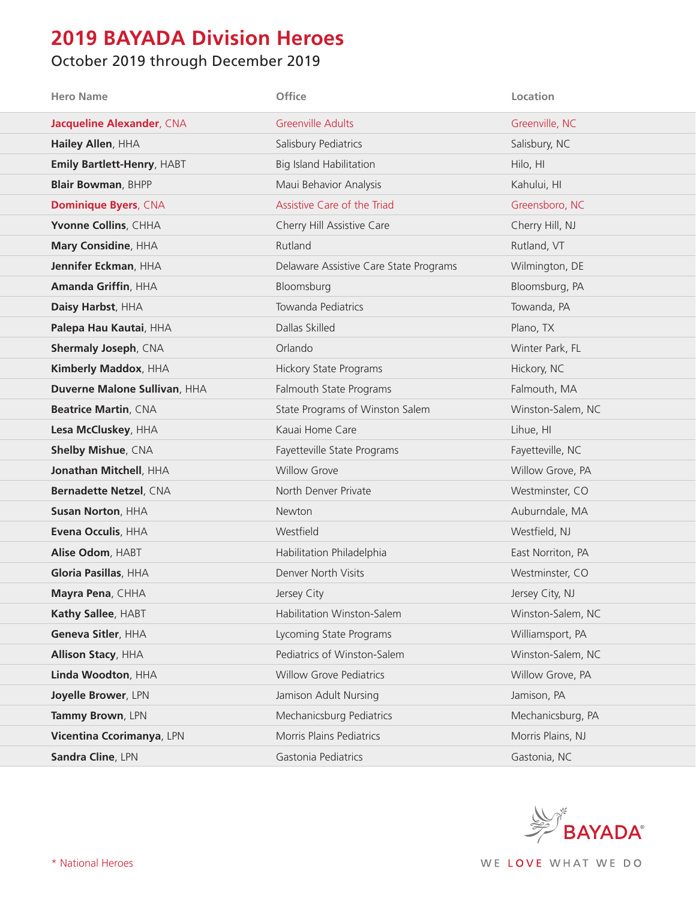## **2019 BAYADA Division Heroes**

## October 2019 through December 2019

| <b>Hero Name</b>                  | Office                                 | Location          |
|-----------------------------------|----------------------------------------|-------------------|
| <b>Jacqueline Alexander, CNA</b>  | <b>Greenville Adults</b>               | Greenville, NC    |
| Hailey Allen, HHA                 | Salisbury Pediatrics                   | Salisbury, NC     |
| <b>Emily Bartlett-Henry, HABT</b> | <b>Big Island Habilitation</b>         | Hilo, HI          |
| <b>Blair Bowman, BHPP</b>         | Maui Behavior Analysis                 | Kahului, HI       |
| <b>Dominique Byers, CNA</b>       | Assistive Care of the Triad            | Greensboro, NC    |
| Yvonne Collins, CHHA              | Cherry Hill Assistive Care             | Cherry Hill, NJ   |
| Mary Considine, HHA               | Rutland                                | Rutland, VT       |
| Jennifer Eckman, HHA              | Delaware Assistive Care State Programs | Wilmington, DE    |
| Amanda Griffin, HHA               | Bloomsburg                             | Bloomsburg, PA    |
| Daisy Harbst, HHA                 | Towanda Pediatrics                     | Towanda, PA       |
| Palepa Hau Kautai, HHA            | Dallas Skilled                         | Plano, TX         |
| <b>Shermaly Joseph, CNA</b>       | Orlando                                | Winter Park, FL   |
| Kimberly Maddox, HHA              | <b>Hickory State Programs</b>          | Hickory, NC       |
| Duverne Malone Sullivan, HHA      | Falmouth State Programs                | Falmouth, MA      |
| <b>Beatrice Martin, CNA</b>       | State Programs of Winston Salem        | Winston-Salem, NC |
| Lesa McCluskey, HHA               | Kauai Home Care                        | Lihue, HI         |
| <b>Shelby Mishue, CNA</b>         | Fayetteville State Programs            | Fayetteville, NC  |
| Jonathan Mitchell, HHA            | <b>Willow Grove</b>                    | Willow Grove, PA  |
| Bernadette Netzel, CNA            | North Denver Private                   | Westminster, CO   |
| <b>Susan Norton, HHA</b>          | Newton                                 | Auburndale, MA    |
| Evena Occulis, HHA                | Westfield                              | Westfield, NJ     |
| Alise Odom, HABT                  | Habilitation Philadelphia              | East Norriton, PA |
| Gloria Pasillas, HHA              | Denver North Visits                    | Westminster, CO   |
| Mayra Pena, CHHA                  | Jersey City                            | Jersey City, NJ   |
| Kathy Sallee, HABT                | Habilitation Winston-Salem             | Winston-Salem, NC |
| Geneva Sitler, HHA                | Lycoming State Programs                | Williamsport, PA  |
| <b>Allison Stacy, HHA</b>         | Pediatrics of Winston-Salem            | Winston-Salem, NC |
| Linda Woodton, HHA                | <b>Willow Grove Pediatrics</b>         | Willow Grove, PA  |
| Joyelle Brower, LPN               | Jamison Adult Nursing                  | Jamison, PA       |
| Tammy Brown, LPN                  | Mechanicsburg Pediatrics               | Mechanicsburg, PA |
| Vicentina Ccorimanya, LPN         | Morris Plains Pediatrics               | Morris Plains, NJ |
| Sandra Cline, LPN                 | Gastonia Pediatrics                    | Gastonia, NC      |

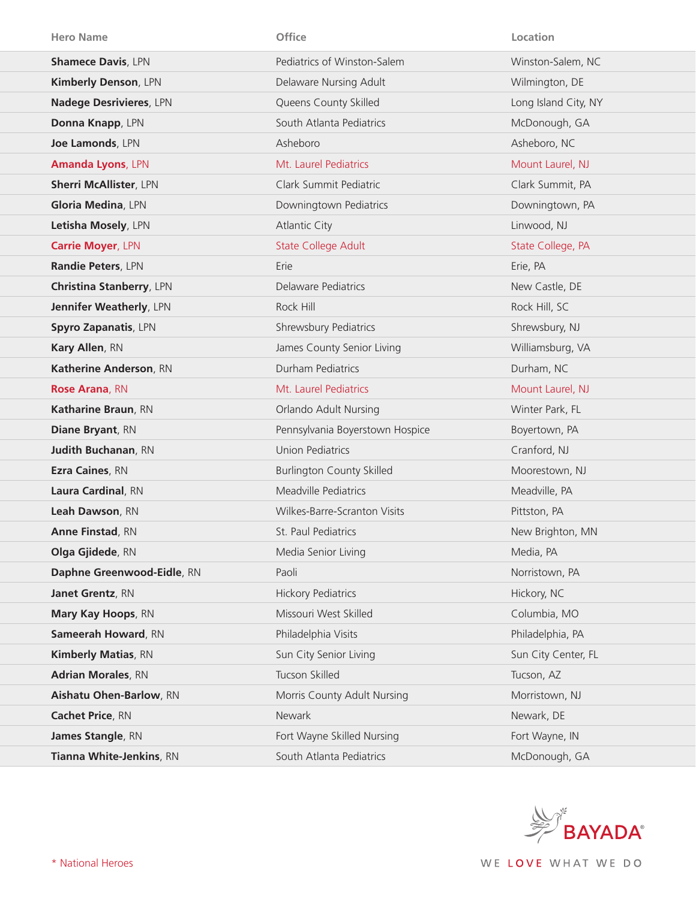| <b>Hero Name</b>                | Office                           | Location             |
|---------------------------------|----------------------------------|----------------------|
| <b>Shamece Davis, LPN</b>       | Pediatrics of Winston-Salem      | Winston-Salem, NC    |
| Kimberly Denson, LPN            | Delaware Nursing Adult           | Wilmington, DE       |
| <b>Nadege Desrivieres, LPN</b>  | Queens County Skilled            | Long Island City, NY |
| Donna Knapp, LPN                | South Atlanta Pediatrics         | McDonough, GA        |
| Joe Lamonds, LPN                | Asheboro                         | Asheboro, NC         |
| <b>Amanda Lyons, LPN</b>        | Mt. Laurel Pediatrics            | Mount Laurel, NJ     |
| <b>Sherri McAllister, LPN</b>   | Clark Summit Pediatric           | Clark Summit, PA     |
| Gloria Medina, LPN              | Downingtown Pediatrics           | Downingtown, PA      |
| Letisha Mosely, LPN             | <b>Atlantic City</b>             | Linwood, NJ          |
| <b>Carrie Moyer, LPN</b>        | <b>State College Adult</b>       | State College, PA    |
| Randie Peters, LPN              | Erie                             | Erie, PA             |
| <b>Christina Stanberry, LPN</b> | Delaware Pediatrics              | New Castle, DE       |
| Jennifer Weatherly, LPN         | Rock Hill                        | Rock Hill, SC        |
| Spyro Zapanatis, LPN            | Shrewsbury Pediatrics            | Shrewsbury, NJ       |
| Kary Allen, RN                  | James County Senior Living       | Williamsburg, VA     |
| Katherine Anderson, RN          | Durham Pediatrics                | Durham, NC           |
| <b>Rose Arana, RN</b>           | Mt. Laurel Pediatrics            | Mount Laurel, NJ     |
| Katharine Braun, RN             | <b>Orlando Adult Nursing</b>     | Winter Park, FL      |
| Diane Bryant, RN                | Pennsylvania Boyerstown Hospice  | Boyertown, PA        |
| <b>Judith Buchanan, RN</b>      | <b>Union Pediatrics</b>          | Cranford, NJ         |
| Ezra Caines, RN                 | <b>Burlington County Skilled</b> | Moorestown, NJ       |
| Laura Cardinal, RN              | Meadville Pediatrics             | Meadville, PA        |
| Leah Dawson, RN                 | Wilkes-Barre-Scranton Visits     | Pittston, PA         |
| <b>Anne Finstad, RN</b>         | St. Paul Pediatrics              | New Brighton, MN     |
| Olga Gjidede, RN                | Media Senior Living              | Media, PA            |
| Daphne Greenwood-Eidle, RN      | Paoli                            | Norristown, PA       |
| Janet Grentz, RN                | <b>Hickory Pediatrics</b>        | Hickory, NC          |
| Mary Kay Hoops, RN              | Missouri West Skilled            | Columbia, MO         |
| Sameerah Howard, RN             | Philadelphia Visits              | Philadelphia, PA     |
| <b>Kimberly Matias, RN</b>      | Sun City Senior Living           | Sun City Center, FL  |
| <b>Adrian Morales, RN</b>       | Tucson Skilled                   | Tucson, AZ           |
| Aishatu Ohen-Barlow, RN         | Morris County Adult Nursing      | Morristown, NJ       |
| Cachet Price, RN                | Newark                           | Newark, DE           |
| James Stangle, RN               | Fort Wayne Skilled Nursing       | Fort Wayne, IN       |
| Tianna White-Jenkins, RN        | South Atlanta Pediatrics         | McDonough, GA        |